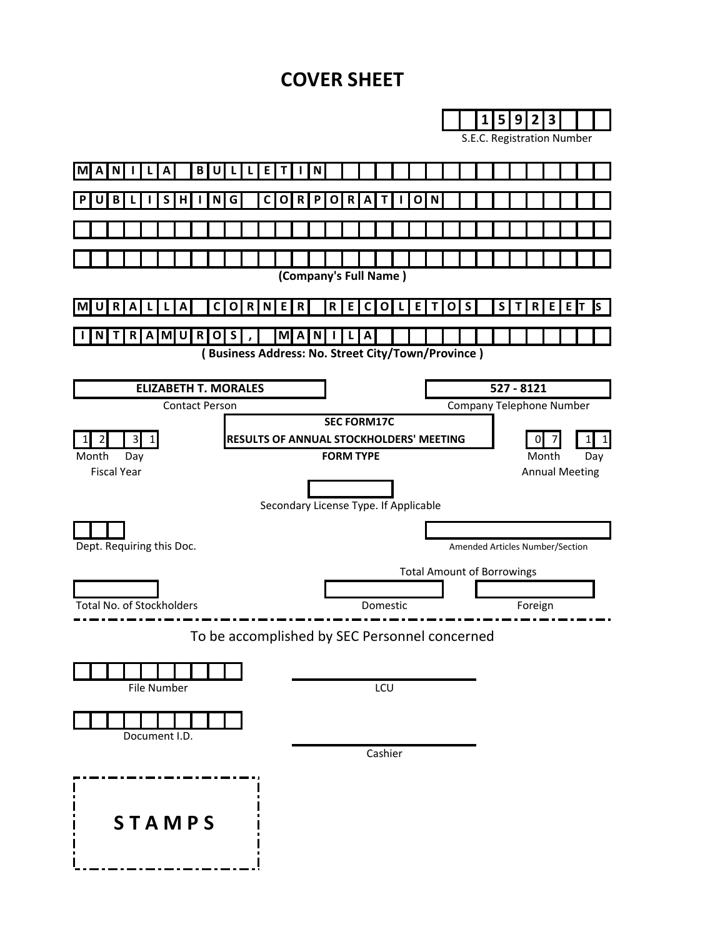# **COVER SHEET**

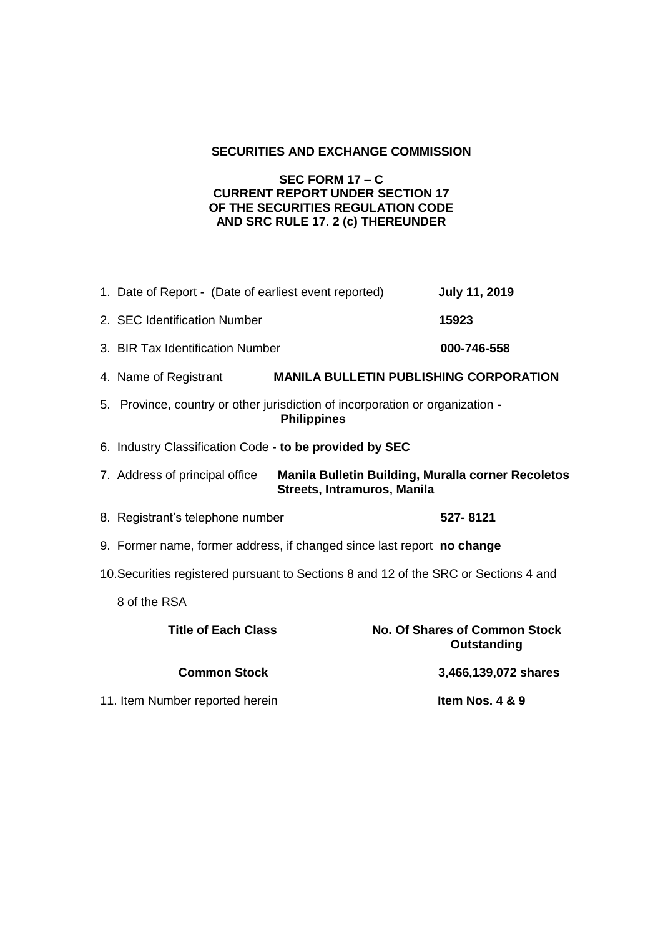# **SECURITIES AND EXCHANGE COMMISSION**

## **SEC FORM 17 – C CURRENT REPORT UNDER SECTION 17 OF THE SECURITIES REGULATION CODE AND SRC RULE 17. 2 (c) THEREUNDER**

|                                                                                      | 1. Date of Report - (Date of earliest event reported)                                                               | <b>July 11, 2019</b>                                       |  |  |
|--------------------------------------------------------------------------------------|---------------------------------------------------------------------------------------------------------------------|------------------------------------------------------------|--|--|
|                                                                                      | 2. SEC Identification Number                                                                                        | 15923                                                      |  |  |
|                                                                                      | 3. BIR Tax Identification Number                                                                                    | 000-746-558                                                |  |  |
|                                                                                      | 4. Name of Registrant                                                                                               | <b>MANILA BULLETIN PUBLISHING CORPORATION</b>              |  |  |
|                                                                                      | 5. Province, country or other jurisdiction of incorporation or organization -<br><b>Philippines</b>                 |                                                            |  |  |
|                                                                                      | 6. Industry Classification Code - to be provided by SEC                                                             |                                                            |  |  |
|                                                                                      | Manila Bulletin Building, Muralla corner Recoletos<br>7. Address of principal office<br>Streets, Intramuros, Manila |                                                            |  |  |
|                                                                                      | 8. Registrant's telephone number                                                                                    | 527-8121                                                   |  |  |
|                                                                                      | 9. Former name, former address, if changed since last report no change                                              |                                                            |  |  |
| 10. Securities registered pursuant to Sections 8 and 12 of the SRC or Sections 4 and |                                                                                                                     |                                                            |  |  |
|                                                                                      | 8 of the RSA                                                                                                        |                                                            |  |  |
|                                                                                      | <b>Title of Each Class</b>                                                                                          | <b>No. Of Shares of Common Stock</b><br><b>Outstanding</b> |  |  |
|                                                                                      | <b>Common Stock</b>                                                                                                 | 3,466,139,072 shares                                       |  |  |
|                                                                                      | 11. Item Number reported herein                                                                                     | Item Nos. 4 & 9                                            |  |  |